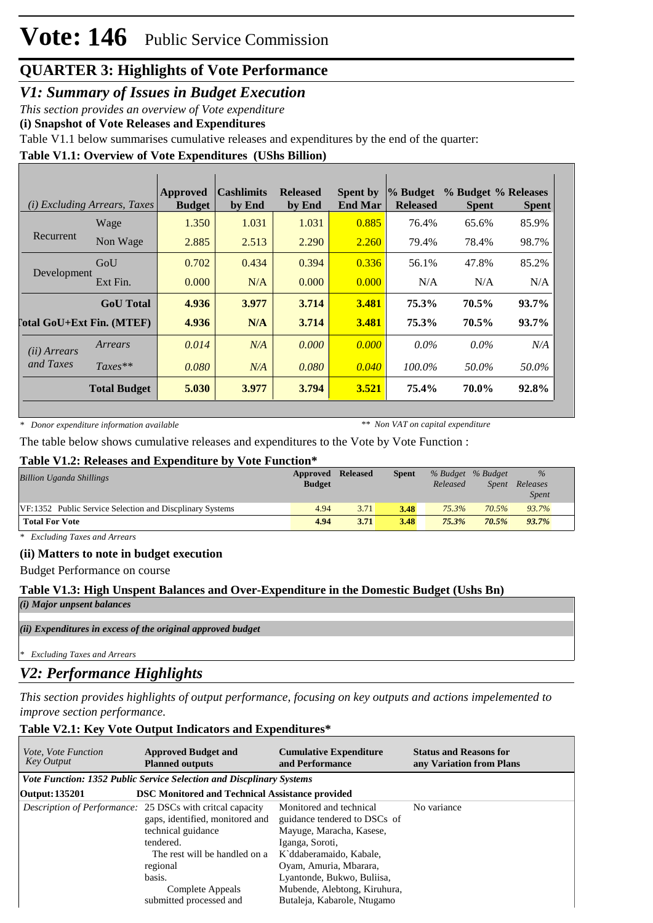# **Vote: 146** Public Service Commission

# **QUARTER 3: Highlights of Vote Performance**

*V1: Summary of Issues in Budget Execution*

*This section provides an overview of Vote expenditure* 

**(i) Snapshot of Vote Releases and Expenditures**

Table V1.1 below summarises cumulative releases and expenditures by the end of the quarter:

### **Table V1.1: Overview of Vote Expenditures (UShs Billion)**

|                                  | <i>(i) Excluding Arrears, Taxes</i> | Approved<br><b>Budget</b> | <b>Cashlimits</b><br>by End | <b>Released</b><br>by End | <b>Spent by</b><br><b>End Mar</b> | % Budget<br><b>Released</b> | % Budget % Releases<br><b>Spent</b> | <b>Spent</b> |
|----------------------------------|-------------------------------------|---------------------------|-----------------------------|---------------------------|-----------------------------------|-----------------------------|-------------------------------------|--------------|
| Recurrent                        | Wage                                | 1.350                     | 1.031                       | 1.031                     | 0.885                             | 76.4%                       | 65.6%                               | 85.9%        |
|                                  | Non Wage                            | 2.885                     | 2.513                       | 2.290                     | 2.260                             | 79.4%                       | 78.4%                               | 98.7%        |
| Development                      | GoU                                 | 0.702                     | 0.434                       | 0.394                     | 0.336                             | 56.1%                       | 47.8%                               | 85.2%        |
|                                  | Ext Fin.                            | 0.000                     | N/A                         | 0.000                     | 0.000                             | N/A                         | N/A                                 | N/A          |
|                                  | <b>GoU</b> Total                    | 4.936                     | 3.977                       | 3.714                     | 3.481                             | 75.3%                       | 70.5%                               | $93.7\%$     |
| <b>Total GoU+Ext Fin. (MTEF)</b> |                                     | 4.936                     | N/A                         | 3.714                     | 3.481                             | 75.3%                       | 70.5%                               | 93.7%        |
| ( <i>ii</i> ) Arrears            | Arrears                             | 0.014                     | N/A                         | 0.000                     | 0.000                             | $0.0\%$                     | $0.0\%$                             | N/A          |
| and Taxes                        | $Taxes**$                           | 0.080                     | N/A                         | 0.080                     | 0.040                             | 100.0%                      | 50.0%                               | 50.0%        |
|                                  | <b>Total Budget</b>                 | 5.030                     | 3.977                       | 3.794                     | 3.521                             | 75.4%                       | 70.0%                               | 92.8%        |

*\* Donor expenditure information available*

*\*\* Non VAT on capital expenditure*

The table below shows cumulative releases and expenditures to the Vote by Vote Function :

### **Table V1.2: Releases and Expenditure by Vote Function\***

| <b>Billion Uganda Shillings</b>                          | Approved<br><b>Budget</b> | <b>Released</b> | <b>Spent</b> | % Budget % Budget<br>Released | <i>Spent</i> | $\%$<br>Releases<br><b>Spent</b> |
|----------------------------------------------------------|---------------------------|-----------------|--------------|-------------------------------|--------------|----------------------------------|
| VF:1352 Public Service Selection and Discolinary Systems | 4.94                      | 3.71            | 3.48         | $75.3\%$                      | 70.5%        | 93.7%                            |
| <b>Total For Vote</b>                                    | 4.94                      | 3.71            | 3.48         | 75.3%                         | 70.5%        | 93.7%                            |

*\* Excluding Taxes and Arrears*

### **(ii) Matters to note in budget execution**

Budget Performance on course

### **Table V1.3: High Unspent Balances and Over-Expenditure in the Domestic Budget (Ushs Bn)**

*(i) Major unpsent balances*

### *(ii) Expenditures in excess of the original approved budget*

*\* Excluding Taxes and Arrears*

### *V2: Performance Highlights*

*This section provides highlights of output performance, focusing on key outputs and actions impelemented to improve section performance.*

### **Table V2.1: Key Vote Output Indicators and Expenditures\***

| <i>Vote, Vote Function</i><br><b>Key Output</b> | <b>Approved Budget and</b><br><b>Planned outputs</b>                                                                                                             | <b>Cumulative Expenditure</b><br>and Performance                                                                                  | <b>Status and Reasons for</b><br>any Variation from Plans |  |  |  |  |  |  |  |  |
|-------------------------------------------------|------------------------------------------------------------------------------------------------------------------------------------------------------------------|-----------------------------------------------------------------------------------------------------------------------------------|-----------------------------------------------------------|--|--|--|--|--|--|--|--|
|                                                 | <b>Vote Function: 1352 Public Service Selection and Discplinary Systems</b>                                                                                      |                                                                                                                                   |                                                           |  |  |  |  |  |  |  |  |
| Output: 135201                                  | <b>DSC Monitored and Technical Assistance provided</b>                                                                                                           |                                                                                                                                   |                                                           |  |  |  |  |  |  |  |  |
|                                                 | Description of Performance: 25 DSCs with critcal capacity<br>gaps, identified, monitored and<br>technical guidance<br>tendered.<br>The rest will be handled on a | Monitored and technical<br>guidance tendered to DSCs of<br>Mayuge, Maracha, Kasese,<br>Iganga, Soroti,<br>K`ddaberamaido, Kabale, | No variance                                               |  |  |  |  |  |  |  |  |
|                                                 | regional<br>basis.<br>Complete Appeals<br>submitted processed and                                                                                                | Oyam, Amuria, Mbarara,<br>Lyantonde, Bukwo, Buliisa,<br>Mubende, Alebtong, Kiruhura,<br>Butaleja, Kabarole, Ntugamo               |                                                           |  |  |  |  |  |  |  |  |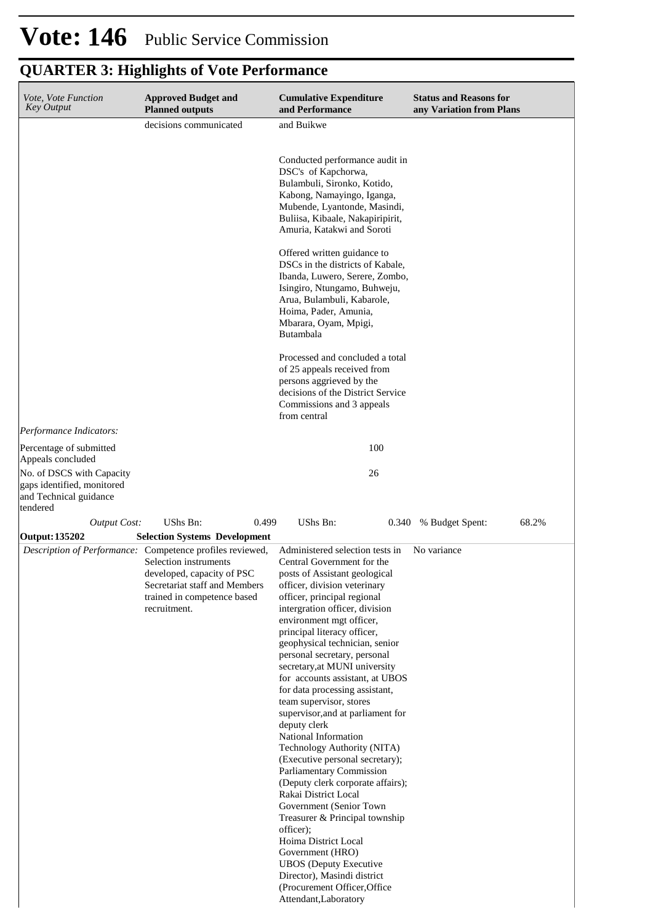| Vote, Vote Function<br>Key Output                                         | <b>Approved Budget and</b><br><b>Planned outputs</b>                                                                                                                                             | <b>Cumulative Expenditure</b><br>and Performance                                                                                                                                                                                                                                                                                                                                                                                                                                                                                                                                                                                                                                                                                                                                                                                                                                                                                                     | <b>Status and Reasons for</b><br>any Variation from Plans |
|---------------------------------------------------------------------------|--------------------------------------------------------------------------------------------------------------------------------------------------------------------------------------------------|------------------------------------------------------------------------------------------------------------------------------------------------------------------------------------------------------------------------------------------------------------------------------------------------------------------------------------------------------------------------------------------------------------------------------------------------------------------------------------------------------------------------------------------------------------------------------------------------------------------------------------------------------------------------------------------------------------------------------------------------------------------------------------------------------------------------------------------------------------------------------------------------------------------------------------------------------|-----------------------------------------------------------|
|                                                                           | decisions communicated                                                                                                                                                                           | and Buikwe                                                                                                                                                                                                                                                                                                                                                                                                                                                                                                                                                                                                                                                                                                                                                                                                                                                                                                                                           |                                                           |
|                                                                           |                                                                                                                                                                                                  |                                                                                                                                                                                                                                                                                                                                                                                                                                                                                                                                                                                                                                                                                                                                                                                                                                                                                                                                                      |                                                           |
|                                                                           |                                                                                                                                                                                                  | Conducted performance audit in<br>DSC's of Kapchorwa,<br>Bulambuli, Sironko, Kotido,<br>Kabong, Namayingo, Iganga,<br>Mubende, Lyantonde, Masindi,<br>Buliisa, Kibaale, Nakapiripirit,<br>Amuria, Katakwi and Soroti                                                                                                                                                                                                                                                                                                                                                                                                                                                                                                                                                                                                                                                                                                                                 |                                                           |
|                                                                           |                                                                                                                                                                                                  | Offered written guidance to<br>DSCs in the districts of Kabale,<br>Ibanda, Luwero, Serere, Zombo,<br>Isingiro, Ntungamo, Buhweju,<br>Arua, Bulambuli, Kabarole,<br>Hoima, Pader, Amunia,<br>Mbarara, Oyam, Mpigi,<br>Butambala                                                                                                                                                                                                                                                                                                                                                                                                                                                                                                                                                                                                                                                                                                                       |                                                           |
|                                                                           |                                                                                                                                                                                                  | Processed and concluded a total<br>of 25 appeals received from<br>persons aggrieved by the<br>decisions of the District Service<br>Commissions and 3 appeals<br>from central                                                                                                                                                                                                                                                                                                                                                                                                                                                                                                                                                                                                                                                                                                                                                                         |                                                           |
| Performance Indicators:                                                   |                                                                                                                                                                                                  |                                                                                                                                                                                                                                                                                                                                                                                                                                                                                                                                                                                                                                                                                                                                                                                                                                                                                                                                                      |                                                           |
| Percentage of submitted<br>Appeals concluded<br>No. of DSCS with Capacity |                                                                                                                                                                                                  | 100<br>26                                                                                                                                                                                                                                                                                                                                                                                                                                                                                                                                                                                                                                                                                                                                                                                                                                                                                                                                            |                                                           |
| gaps identified, monitored<br>and Technical guidance<br>tendered          |                                                                                                                                                                                                  |                                                                                                                                                                                                                                                                                                                                                                                                                                                                                                                                                                                                                                                                                                                                                                                                                                                                                                                                                      |                                                           |
| <b>Output Cost:</b>                                                       | UShs Bn:<br>0.499                                                                                                                                                                                | UShs Bn:<br>0.340                                                                                                                                                                                                                                                                                                                                                                                                                                                                                                                                                                                                                                                                                                                                                                                                                                                                                                                                    | 68.2%<br>% Budget Spent:                                  |
| <b>Output: 135202</b>                                                     | <b>Selection Systems Development</b>                                                                                                                                                             |                                                                                                                                                                                                                                                                                                                                                                                                                                                                                                                                                                                                                                                                                                                                                                                                                                                                                                                                                      |                                                           |
|                                                                           | Description of Performance: Competence profiles reviewed,<br>Selection instruments<br>developed, capacity of PSC<br>Secretariat staff and Members<br>trained in competence based<br>recruitment. | Administered selection tests in<br>Central Government for the<br>posts of Assistant geological<br>officer, division veterinary<br>officer, principal regional<br>intergration officer, division<br>environment mgt officer,<br>principal literacy officer,<br>geophysical technician, senior<br>personal secretary, personal<br>secretary, at MUNI university<br>for accounts assistant, at UBOS<br>for data processing assistant,<br>team supervisor, stores<br>supervisor, and at parliament for<br>deputy clerk<br>National Information<br>Technology Authority (NITA)<br>(Executive personal secretary);<br>Parliamentary Commission<br>(Deputy clerk corporate affairs);<br>Rakai District Local<br>Government (Senior Town<br>Treasurer & Principal township<br>officer);<br>Hoima District Local<br>Government (HRO)<br><b>UBOS</b> (Deputy Executive<br>Director), Masindi district<br>(Procurement Officer, Office<br>Attendant, Laboratory | No variance                                               |

# **Vote: 146** Public Service Commission **QUARTER 3: Highlights of Vote Performance**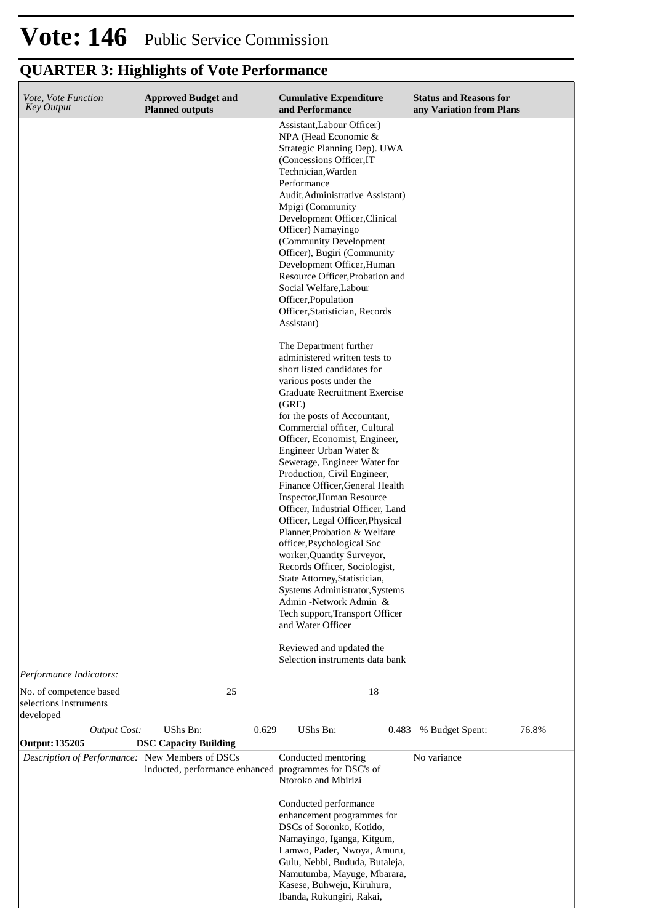| Vote, Vote Function<br><b>Key Output</b>                          | <b>Approved Budget and</b><br><b>Planned outputs</b> |       | <b>Cumulative Expenditure</b><br>and Performance                                                                                                                                                                                                                                                                                                                                                                                                                                                                                                                                                                                                                                                                                                                                                                                                                                                                                                                                                                                                                                                                                                                                                                           | <b>Status and Reasons for</b><br>any Variation from Plans |       |
|-------------------------------------------------------------------|------------------------------------------------------|-------|----------------------------------------------------------------------------------------------------------------------------------------------------------------------------------------------------------------------------------------------------------------------------------------------------------------------------------------------------------------------------------------------------------------------------------------------------------------------------------------------------------------------------------------------------------------------------------------------------------------------------------------------------------------------------------------------------------------------------------------------------------------------------------------------------------------------------------------------------------------------------------------------------------------------------------------------------------------------------------------------------------------------------------------------------------------------------------------------------------------------------------------------------------------------------------------------------------------------------|-----------------------------------------------------------|-------|
|                                                                   |                                                      |       | Assistant, Labour Officer)<br>NPA (Head Economic &<br>Strategic Planning Dep). UWA<br>(Concessions Officer, IT)<br>Technician, Warden<br>Performance<br>Audit, Administrative Assistant)<br>Mpigi (Community<br>Development Officer, Clinical<br>Officer) Namayingo<br>(Community Development<br>Officer), Bugiri (Community<br>Development Officer, Human<br>Resource Officer, Probation and<br>Social Welfare, Labour<br>Officer, Population<br>Officer, Statistician, Records<br>Assistant)<br>The Department further<br>administered written tests to<br>short listed candidates for<br>various posts under the<br>Graduate Recruitment Exercise<br>(GRE)<br>for the posts of Accountant,<br>Commercial officer, Cultural<br>Officer, Economist, Engineer,<br>Engineer Urban Water &<br>Sewerage, Engineer Water for<br>Production, Civil Engineer,<br>Finance Officer, General Health<br>Inspector, Human Resource<br>Officer, Industrial Officer, Land<br>Officer, Legal Officer, Physical<br>Planner, Probation & Welfare<br>officer, Psychological Soc<br>worker, Quantity Surveyor,<br>Records Officer, Sociologist,<br>State Attorney, Statistician,<br>Systems Administrator, Systems<br>Admin -Network Admin & |                                                           |       |
|                                                                   |                                                      |       | Tech support, Transport Officer<br>and Water Officer                                                                                                                                                                                                                                                                                                                                                                                                                                                                                                                                                                                                                                                                                                                                                                                                                                                                                                                                                                                                                                                                                                                                                                       |                                                           |       |
|                                                                   |                                                      |       | Reviewed and updated the<br>Selection instruments data bank                                                                                                                                                                                                                                                                                                                                                                                                                                                                                                                                                                                                                                                                                                                                                                                                                                                                                                                                                                                                                                                                                                                                                                |                                                           |       |
| Performance Indicators:                                           |                                                      |       |                                                                                                                                                                                                                                                                                                                                                                                                                                                                                                                                                                                                                                                                                                                                                                                                                                                                                                                                                                                                                                                                                                                                                                                                                            |                                                           |       |
| No. of competence based<br>selections instruments<br>developed    | 25                                                   |       | 18                                                                                                                                                                                                                                                                                                                                                                                                                                                                                                                                                                                                                                                                                                                                                                                                                                                                                                                                                                                                                                                                                                                                                                                                                         |                                                           |       |
| <b>Output Cost:</b>                                               | UShs Bn:                                             | 0.629 | UShs Bn:<br>0.483                                                                                                                                                                                                                                                                                                                                                                                                                                                                                                                                                                                                                                                                                                                                                                                                                                                                                                                                                                                                                                                                                                                                                                                                          | % Budget Spent:                                           | 76.8% |
| Output: 135205<br>Description of Performance: New Members of DSCs | <b>DSC Capacity Building</b>                         |       | Conducted mentoring<br>inducted, performance enhanced programmes for DSC's of<br>Ntoroko and Mbirizi                                                                                                                                                                                                                                                                                                                                                                                                                                                                                                                                                                                                                                                                                                                                                                                                                                                                                                                                                                                                                                                                                                                       | No variance                                               |       |
|                                                                   |                                                      |       | Conducted performance<br>enhancement programmes for<br>DSCs of Soronko, Kotido,<br>Namayingo, Iganga, Kitgum,<br>Lamwo, Pader, Nwoya, Amuru,<br>Gulu, Nebbi, Bududa, Butaleja,<br>Namutumba, Mayuge, Mbarara,<br>Kasese, Buhweju, Kiruhura,<br>Ibanda, Rukungiri, Rakai,                                                                                                                                                                                                                                                                                                                                                                                                                                                                                                                                                                                                                                                                                                                                                                                                                                                                                                                                                   |                                                           |       |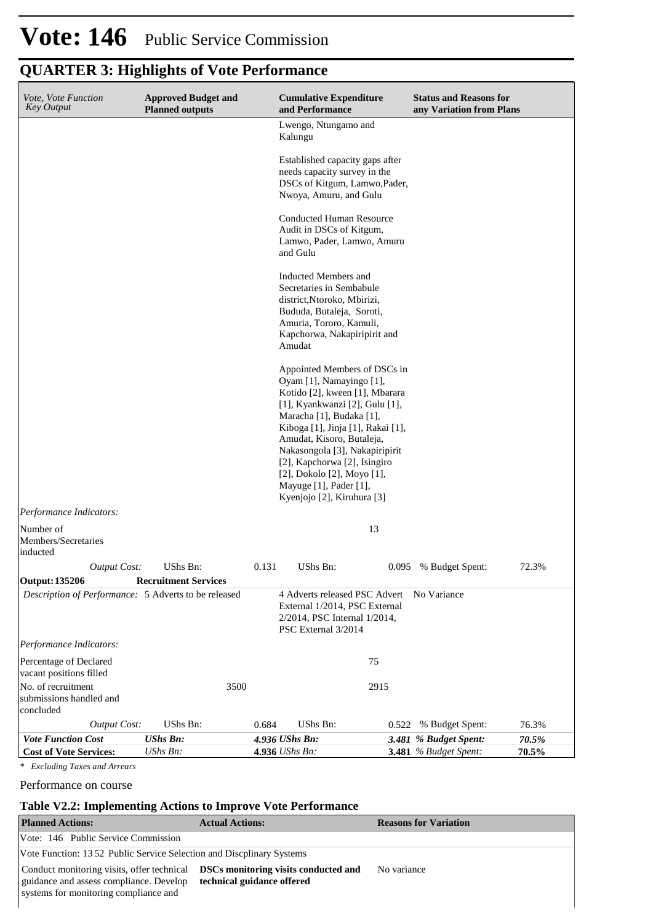| Vote, Vote Function<br><b>Key Output</b>                   |                     | <b>Approved Budget and</b><br><b>Planned outputs</b> |      |                | <b>Cumulative Expenditure</b><br>and Performance                                                                                                                                                                                                                                                                                                                                   |       | <b>Status and Reasons for</b><br>any Variation from Plans |       |
|------------------------------------------------------------|---------------------|------------------------------------------------------|------|----------------|------------------------------------------------------------------------------------------------------------------------------------------------------------------------------------------------------------------------------------------------------------------------------------------------------------------------------------------------------------------------------------|-------|-----------------------------------------------------------|-------|
|                                                            |                     |                                                      |      |                | Lwengo, Ntungamo and<br>Kalungu                                                                                                                                                                                                                                                                                                                                                    |       |                                                           |       |
|                                                            |                     |                                                      |      |                | Established capacity gaps after<br>needs capacity survey in the<br>DSCs of Kitgum, Lamwo, Pader,<br>Nwoya, Amuru, and Gulu                                                                                                                                                                                                                                                         |       |                                                           |       |
|                                                            |                     |                                                      |      |                | <b>Conducted Human Resource</b><br>Audit in DSCs of Kitgum,<br>Lamwo, Pader, Lamwo, Amuru<br>and Gulu                                                                                                                                                                                                                                                                              |       |                                                           |       |
|                                                            |                     |                                                      |      |                | Inducted Members and<br>Secretaries in Sembabule<br>district, Ntoroko, Mbirizi,<br>Bududa, Butaleja, Soroti,<br>Amuria, Tororo, Kamuli,<br>Kapchorwa, Nakapiripirit and<br>Amudat                                                                                                                                                                                                  |       |                                                           |       |
|                                                            |                     |                                                      |      |                | Appointed Members of DSCs in<br>Oyam [1], Namayingo [1],<br>Kotido [2], kween [1], Mbarara<br>[1], Kyankwanzi [2], Gulu [1],<br>Maracha [1], Budaka [1],<br>Kiboga [1], Jinja [1], Rakai [1],<br>Amudat, Kisoro, Butaleja,<br>Nakasongola [3], Nakapiripirit<br>[2], Kapchorwa [2], Isingiro<br>[2], Dokolo [2], Moyo [1],<br>Mayuge [1], Pader [1],<br>Kyenjojo [2], Kiruhura [3] |       |                                                           |       |
| Performance Indicators:                                    |                     |                                                      |      |                |                                                                                                                                                                                                                                                                                                                                                                                    |       |                                                           |       |
| Number of<br>Members/Secretaries<br>inducted               |                     |                                                      |      |                |                                                                                                                                                                                                                                                                                                                                                                                    | 13    |                                                           |       |
|                                                            | <b>Output Cost:</b> | UShs Bn:                                             |      | 0.131          | UShs Bn:                                                                                                                                                                                                                                                                                                                                                                           | 0.095 | % Budget Spent:                                           | 72.3% |
| Output: 135206                                             |                     | <b>Recruitment Services</b>                          |      |                |                                                                                                                                                                                                                                                                                                                                                                                    |       |                                                           |       |
|                                                            |                     | Description of Performance: 5 Adverts to be released |      |                | 4 Adverts released PSC Advert<br>External 1/2014, PSC External<br>2/2014, PSC Internal 1/2014,<br>PSC External 3/2014                                                                                                                                                                                                                                                              |       | No Variance                                               |       |
| Performance Indicators:                                    |                     |                                                      |      |                |                                                                                                                                                                                                                                                                                                                                                                                    |       |                                                           |       |
| Percentage of Declared<br>vacant positions filled          |                     |                                                      |      |                |                                                                                                                                                                                                                                                                                                                                                                                    | 75    |                                                           |       |
| No. of recruitment<br>submissions handled and<br>concluded |                     |                                                      | 3500 |                |                                                                                                                                                                                                                                                                                                                                                                                    | 2915  |                                                           |       |
|                                                            | <b>Output Cost:</b> | UShs Bn:                                             |      | 0.684          | <b>UShs Bn:</b>                                                                                                                                                                                                                                                                                                                                                                    | 0.522 | % Budget Spent:                                           | 76.3% |
| <b>Vote Function Cost</b>                                  |                     | <b>UShs Bn:</b>                                      |      | 4.936 UShs Bn: |                                                                                                                                                                                                                                                                                                                                                                                    |       | 3.481 % Budget Spent:                                     | 70.5% |
| <b>Cost of Vote Services:</b>                              |                     | UShs Bn:                                             |      | 4.936 UShs Bn: |                                                                                                                                                                                                                                                                                                                                                                                    |       | 3.481 % Budget Spent:                                     | 70.5% |
| <b>Excluding Taxes and Arrears</b><br>$\ast$               |                     |                                                      |      |                |                                                                                                                                                                                                                                                                                                                                                                                    |       |                                                           |       |

Performance on course

### **Table V2.2: Implementing Actions to Improve Vote Performance**

| <b>Planned Actions:</b>                                                                                                                                                    | <b>Actual Actions:</b>     | <b>Reasons for Variation</b> |  |  |  |  |  |  |
|----------------------------------------------------------------------------------------------------------------------------------------------------------------------------|----------------------------|------------------------------|--|--|--|--|--|--|
| Vote: 146 Public Service Commission                                                                                                                                        |                            |                              |  |  |  |  |  |  |
| Vote Function: 1352 Public Service Selection and Discolinary Systems                                                                                                       |                            |                              |  |  |  |  |  |  |
| Conduct monitoring visits, offer technical <b>DSCs monitoring visits conducted and</b><br>guidance and assess compliance. Develop<br>systems for monitoring compliance and | technical guidance offered | No variance                  |  |  |  |  |  |  |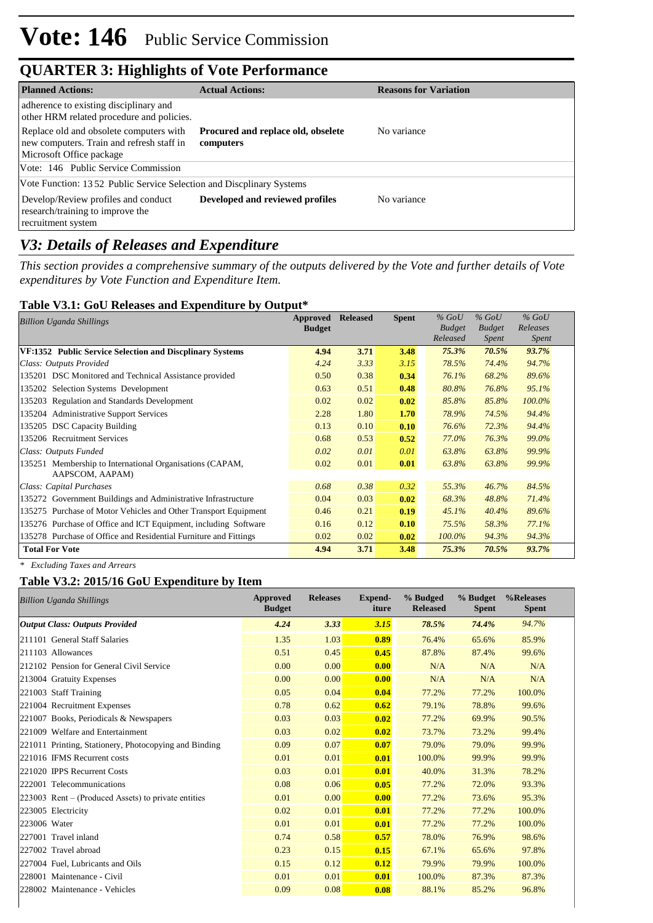| <b>Planned Actions:</b>                                                                                          | <b>Actual Actions:</b>                          | <b>Reasons for Variation</b> |
|------------------------------------------------------------------------------------------------------------------|-------------------------------------------------|------------------------------|
| adherence to existing disciplinary and<br>other HRM related procedure and policies.                              |                                                 |                              |
| Replace old and obsolete computers with<br>new computers. Train and refresh staff in<br>Microsoft Office package | Procured and replace old, obselete<br>computers | No variance                  |
| Vote: 146 Public Service Commission                                                                              |                                                 |                              |
| Vote Function: 1352 Public Service Selection and Discplinary Systems                                             |                                                 |                              |
| Develop/Review profiles and conduct<br>research/training to improve the<br>recruitment system                    | Developed and reviewed profiles                 | No variance                  |

### *V3: Details of Releases and Expenditure*

*This section provides a comprehensive summary of the outputs delivered by the Vote and further details of Vote expenditures by Vote Function and Expenditure Item.*

#### **Table V3.1: GoU Releases and Expenditure by Output\***

| Billion Uganda Shillings                                         | Approved      | <b>Released</b> | <b>Spent</b> | $%$ GoU       | $%$ GoU       | $%$ GoU      |  |
|------------------------------------------------------------------|---------------|-----------------|--------------|---------------|---------------|--------------|--|
|                                                                  | <b>Budget</b> |                 |              | <b>Budget</b> | <b>Budget</b> | Releases     |  |
|                                                                  |               |                 |              | Released      | Spent         | <i>Spent</i> |  |
| VF:1352 Public Service Selection and Discplinary Systems         | 4.94          | 3.71            | 3.48         | 75.3%         | 70.5%         | 93.7%        |  |
| Class: Outputs Provided                                          | 4.24          | 3.33            | 3.15         | 78.5%         | 74.4%         | 94.7%        |  |
| 135201 DSC Monitored and Technical Assistance provided           | 0.50          | 0.38            | 0.34         | 76.1%         | 68.2%         | 89.6%        |  |
| 135202 Selection Systems Development                             | 0.63          | 0.51            | 0.48         | 80.8%         | 76.8%         | 95.1%        |  |
| 135203 Regulation and Standards Development                      | 0.02          | 0.02            | 0.02         | 85.8%         | 85.8%         | 100.0%       |  |
| 135204 Administrative Support Services                           | 2.28          | 1.80            | 1.70         | 78.9%         | 74.5%         | 94.4%        |  |
| 135205 DSC Capacity Building                                     | 0.13          | 0.10            | 0.10         | 76.6%         | 72.3%         | 94.4%        |  |
| 135206 Recruitment Services                                      | 0.68          | 0.53            | 0.52         | 77.0%         | 76.3%         | 99.0%        |  |
| Class: Outputs Funded                                            | 0.02          | 0.01            | 0.01         | 63.8%         | 63.8%         | 99.9%        |  |
| Membership to International Organisations (CAPAM,<br>135251      | 0.02          | 0.01            | 0.01         | 63.8%         | 63.8%         | 99.9%        |  |
| AAPSCOM, AAPAM)                                                  |               |                 |              |               |               |              |  |
| Class: Capital Purchases                                         | 0.68          | 0.38            | 0.32         | 55.3%         | 46.7%         | 84.5%        |  |
| 135272 Government Buildings and Administrative Infrastructure    | 0.04          | 0.03            | 0.02         | 68.3%         | 48.8%         | 71.4%        |  |
| 135275 Purchase of Motor Vehicles and Other Transport Equipment  | 0.46          | 0.21            | 0.19         | 45.1%         | 40.4%         | 89.6%        |  |
| 135276 Purchase of Office and ICT Equipment, including Software  | 0.16          | 0.12            | 0.10         | 75.5%         | 58.3%         | 77.1%        |  |
| 135278 Purchase of Office and Residential Furniture and Fittings | 0.02          | 0.02            | 0.02         | 100.0%        | 94.3%         | 94.3%        |  |
| <b>Total For Vote</b>                                            | 4.94          | 3.71            | 3.48         | 75.3%         | 70.5%         | 93.7%        |  |

*\* Excluding Taxes and Arrears*

### **Table V3.2: 2015/16 GoU Expenditure by Item**

| <b>Billion Uganda Shillings</b>                       | Approved<br><b>Budget</b> | <b>Releases</b> | <b>Expend-</b><br>iture | % Budged<br><b>Released</b> | % Budget<br><b>Spent</b> | %Releases<br><b>Spent</b> |
|-------------------------------------------------------|---------------------------|-----------------|-------------------------|-----------------------------|--------------------------|---------------------------|
| <b>Output Class: Outputs Provided</b>                 | 4.24                      | 3.33            | 3.15                    | 78.5%                       | 74.4%                    | 94.7%                     |
| 211101 General Staff Salaries                         | 1.35                      | 1.03            | 0.89                    | 76.4%                       | 65.6%                    | 85.9%                     |
| 211103 Allowances                                     | 0.51                      | 0.45            | 0.45                    | 87.8%                       | 87.4%                    | 99.6%                     |
| 212102 Pension for General Civil Service              | 0.00                      | 0.00            | 0.00                    | N/A                         | N/A                      | N/A                       |
| 213004 Gratuity Expenses                              | 0.00                      | 0.00            | 0.00                    | N/A                         | N/A                      | N/A                       |
| 221003 Staff Training                                 | 0.05                      | 0.04            | 0.04                    | 77.2%                       | 77.2%                    | 100.0%                    |
| 221004 Recruitment Expenses                           | 0.78                      | 0.62            | 0.62                    | 79.1%                       | 78.8%                    | 99.6%                     |
| 221007 Books, Periodicals & Newspapers                | 0.03                      | 0.03            | 0.02                    | 77.2%                       | 69.9%                    | 90.5%                     |
| 221009 Welfare and Entertainment                      | 0.03                      | 0.02            | 0.02                    | 73.7%                       | 73.2%                    | 99.4%                     |
| 221011 Printing, Stationery, Photocopying and Binding | 0.09                      | 0.07            | 0.07                    | 79.0%                       | 79.0%                    | 99.9%                     |
| 221016 IFMS Recurrent costs                           | 0.01                      | 0.01            | 0.01                    | 100.0%                      | 99.9%                    | 99.9%                     |
| 221020 IPPS Recurrent Costs                           | 0.03                      | 0.01            | 0.01                    | 40.0%                       | 31.3%                    | 78.2%                     |
| 222001 Telecommunications                             | 0.08                      | 0.06            | 0.05                    | 77.2%                       | 72.0%                    | 93.3%                     |
| $223003$ Rent – (Produced Assets) to private entities | 0.01                      | 0.00            | 0.00                    | 77.2%                       | 73.6%                    | 95.3%                     |
| 223005 Electricity                                    | 0.02                      | 0.01            | 0.01                    | 77.2%                       | 77.2%                    | 100.0%                    |
| 223006 Water                                          | 0.01                      | 0.01            | 0.01                    | 77.2%                       | 77.2%                    | 100.0%                    |
| 227001 Travel inland                                  | 0.74                      | 0.58            | 0.57                    | 78.0%                       | 76.9%                    | 98.6%                     |
| 227002 Travel abroad                                  | 0.23                      | 0.15            | 0.15                    | 67.1%                       | 65.6%                    | 97.8%                     |
| 227004 Fuel, Lubricants and Oils                      | 0.15                      | 0.12            | 0.12                    | 79.9%                       | 79.9%                    | 100.0%                    |
| 228001 Maintenance - Civil                            | 0.01                      | 0.01            | 0.01                    | 100.0%                      | 87.3%                    | 87.3%                     |
| 228002 Maintenance - Vehicles                         | 0.09                      | 0.08            | 0.08                    | 88.1%                       | 85.2%                    | 96.8%                     |